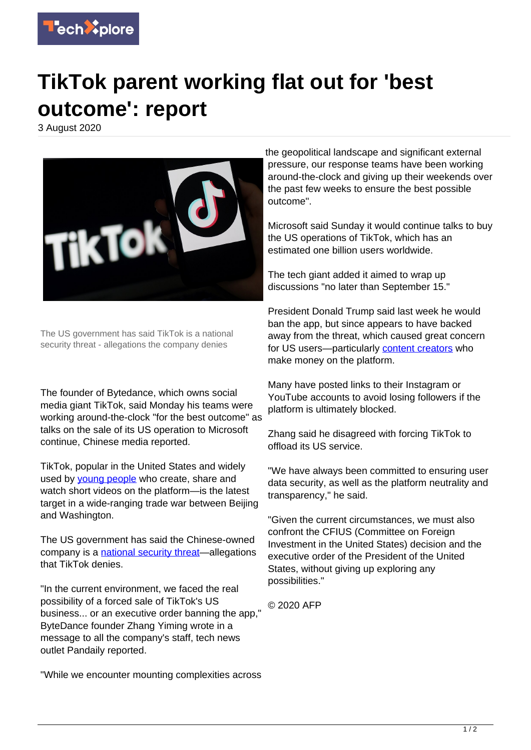

## **TikTok parent working flat out for 'best outcome': report**

3 August 2020



The US government has said TikTok is a national security threat - allegations the company denies

The founder of Bytedance, which owns social media giant TikTok, said Monday his teams were working around-the-clock "for the best outcome" as talks on the sale of its US operation to Microsoft continue, Chinese media reported.

TikTok, popular in the United States and widely used by voung people who create, share and watch short videos on the platform—is the latest target in a wide-ranging trade war between Beijing and Washington.

The US government has said the Chinese-owned company is a [national security threat—](https://techxplore.com/tags/national+security+threat/)allegations that TikTok denies.

"In the current environment, we faced the real possibility of a forced sale of TikTok's US business... or an executive order banning the app," ByteDance founder Zhang Yiming wrote in a message to all the company's staff, tech news outlet Pandaily reported.

"While we encounter mounting complexities across

the geopolitical landscape and significant external pressure, our response teams have been working around-the-clock and giving up their weekends over the past few weeks to ensure the best possible outcome".

Microsoft said Sunday it would continue talks to buy the US operations of TikTok, which has an estimated one billion users worldwide.

The tech giant added it aimed to wrap up discussions "no later than September 15."

President Donald Trump said last week he would ban the app, but since appears to have backed away from the threat, which caused great concern for US users-particularly [content creators](https://techxplore.com/tags/content+creators/) who make money on the platform.

Many have posted links to their Instagram or YouTube accounts to avoid losing followers if the platform is ultimately blocked.

Zhang said he disagreed with forcing TikTok to offload its US service.

"We have always been committed to ensuring user data security, as well as the platform neutrality and transparency," he said.

"Given the current circumstances, we must also confront the CFIUS (Committee on Foreign Investment in the United States) decision and the executive order of the President of the United States, without giving up exploring any possibilities."

© 2020 AFP